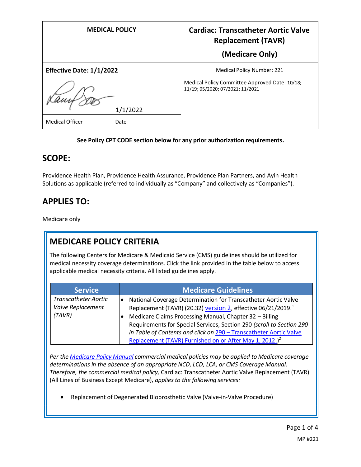| <b>MEDICAL POLICY</b>           | <b>Cardiac: Transcatheter Aortic Valve</b><br><b>Replacement (TAVR)</b><br>(Medicare Only) |
|---------------------------------|--------------------------------------------------------------------------------------------|
| <b>Effective Date: 1/1/2022</b> | Medical Policy Number: 221                                                                 |
| 1/1/2022                        | Medical Policy Committee Approved Date: 10/18;<br>11/19; 05/2020; 07/2021; 11/2021         |
| <b>Medical Officer</b><br>Date  |                                                                                            |

#### **See Policy CPT CODE section below for any prior authorization requirements.**

## **SCOPE:**

Providence Health Plan, Providence Health Assurance, Providence Plan Partners, and Ayin Health Solutions as applicable (referred to individually as "Company" and collectively as "Companies").

# **APPLIES TO:**

Medicare only

# **MEDICARE POLICY CRITERIA**

The following Centers for Medicare & Medicaid Service (CMS) guidelines should be utilized for medical necessity coverage determinations. Click the link provided in the table below to access applicable medical necessity criteria. All listed guidelines apply.

| <b>Service</b>                                             | <b>Medicare Guidelines</b>                                                                                                                                                                                                                                                                                                                                                                                                  |
|------------------------------------------------------------|-----------------------------------------------------------------------------------------------------------------------------------------------------------------------------------------------------------------------------------------------------------------------------------------------------------------------------------------------------------------------------------------------------------------------------|
| <b>Transcatheter Aortic</b><br>Valve Replacement<br>(TAVR) | National Coverage Determination for Transcatheter Aortic Valve<br>Replacement (TAVR) (20.32) version 2, effective 06/21/2019. <sup>1</sup><br>Medicare Claims Processing Manual, Chapter 32 - Billing<br>Requirements for Special Services, Section 290 (scroll to Section 290<br>in Table of Contents and click on 290 - Transcatheter Aortic Valve<br>Replacement (TAVR) Furnished on or After May 1, 2012.) <sup>2</sup> |

*Per th[e Medicare Policy Manual](https://s3-us-west-2.amazonaws.com/images.provhealth.org/Providence-Images/PHP_PHA_Medical_Policy_CMS_Manual.pdf) commercial medical policies may be applied to Medicare coverage determinations in the absence of an appropriate NCD, LCD, LCA, or CMS Coverage Manual. Therefore, the commercial medical policy,* Cardiac: Transcatheter Aortic Valve Replacement (TAVR) (All Lines of Business Except Medicare), *applies to the following services:*

• Replacement of Degenerated Bioprosthetic Valve (Valve-in-Valve Procedure)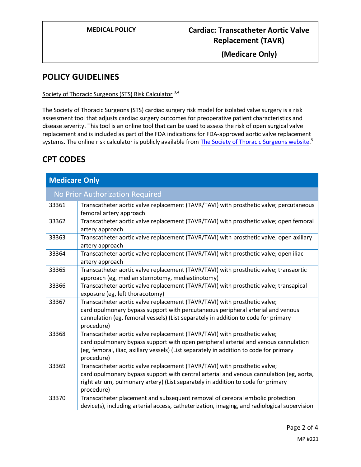**(Medicare Only)**

#### **POLICY GUIDELINES**

Society of Thoracic Surgeons (STS) Risk Calculator 3,4

The Society of Thoracic Surgeons (STS) cardiac surgery risk model for isolated valve surgery is a risk assessment tool that adjusts cardiac surgery outcomes for preoperative patient characteristics and disease severity. This tool is an online tool that can be used to assess the risk of open surgical valve replacement and is included as part of the FDA indications for FDA-approved aortic valve replacement systems. The online risk calculator is publicly available from [The Society of Thoracic Surgeons website.](http://riskcalc.sts.org/stswebriskcalc/#/calculate)<sup>5</sup>

# **CPT CODES**

| <b>Medicare Only</b>            |                                                                                                                                                                                                                                                                           |
|---------------------------------|---------------------------------------------------------------------------------------------------------------------------------------------------------------------------------------------------------------------------------------------------------------------------|
| No Prior Authorization Required |                                                                                                                                                                                                                                                                           |
| 33361                           | Transcatheter aortic valve replacement (TAVR/TAVI) with prosthetic valve; percutaneous<br>femoral artery approach                                                                                                                                                         |
| 33362                           | Transcatheter aortic valve replacement (TAVR/TAVI) with prosthetic valve; open femoral<br>artery approach                                                                                                                                                                 |
| 33363                           | Transcatheter aortic valve replacement (TAVR/TAVI) with prosthetic valve; open axillary<br>artery approach                                                                                                                                                                |
| 33364                           | Transcatheter aortic valve replacement (TAVR/TAVI) with prosthetic valve; open iliac<br>artery approach                                                                                                                                                                   |
| 33365                           | Transcatheter aortic valve replacement (TAVR/TAVI) with prosthetic valve; transaortic<br>approach (eg, median sternotomy, mediastinotomy)                                                                                                                                 |
| 33366                           | Transcatheter aortic valve replacement (TAVR/TAVI) with prosthetic valve; transapical<br>exposure (eg, left thoracotomy)                                                                                                                                                  |
| 33367                           | Transcatheter aortic valve replacement (TAVR/TAVI) with prosthetic valve;<br>cardiopulmonary bypass support with percutaneous peripheral arterial and venous<br>cannulation (eg, femoral vessels) (List separately in addition to code for primary<br>procedure)          |
| 33368                           | Transcatheter aortic valve replacement (TAVR/TAVI) with prosthetic valve;<br>cardiopulmonary bypass support with open peripheral arterial and venous cannulation<br>(eg, femoral, iliac, axillary vessels) (List separately in addition to code for primary<br>procedure) |
| 33369                           | Transcatheter aortic valve replacement (TAVR/TAVI) with prosthetic valve;<br>cardiopulmonary bypass support with central arterial and venous cannulation (eg, aorta,<br>right atrium, pulmonary artery) (List separately in addition to code for primary<br>procedure)    |
| 33370                           | Transcatheter placement and subsequent removal of cerebral embolic protection<br>device(s), including arterial access, catheterization, imaging, and radiological supervision                                                                                             |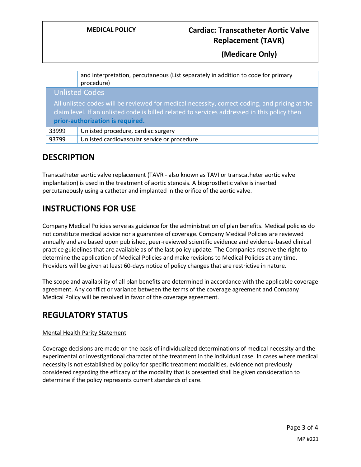**(Medicare Only)**

|                                                                                                                                                                                                                                   | and interpretation, percutaneous (List separately in addition to code for primary<br>procedure) |
|-----------------------------------------------------------------------------------------------------------------------------------------------------------------------------------------------------------------------------------|-------------------------------------------------------------------------------------------------|
|                                                                                                                                                                                                                                   | <b>Unlisted Codes</b>                                                                           |
| All unlisted codes will be reviewed for medical necessity, correct coding, and pricing at the<br>claim level. If an unlisted code is billed related to services addressed in this policy then<br>prior-authorization is required. |                                                                                                 |
| 33999                                                                                                                                                                                                                             | Unlisted procedure, cardiac surgery                                                             |
| 93799                                                                                                                                                                                                                             | Unlisted cardiovascular service or procedure                                                    |

## **DESCRIPTION**

Transcatheter aortic valve replacement (TAVR - also known as TAVI or transcatheter aortic valve implantation) is used in the treatment of aortic stenosis. A bioprosthetic valve is inserted percutaneously using a catheter and implanted in the orifice of the aortic valve.

## **INSTRUCTIONS FOR USE**

Company Medical Policies serve as guidance for the administration of plan benefits. Medical policies do not constitute medical advice nor a guarantee of coverage. Company Medical Policies are reviewed annually and are based upon published, peer-reviewed scientific evidence and evidence-based clinical practice guidelines that are available as of the last policy update. The Companies reserve the right to determine the application of Medical Policies and make revisions to Medical Policies at any time. Providers will be given at least 60-days notice of policy changes that are restrictive in nature.

The scope and availability of all plan benefits are determined in accordance with the applicable coverage agreement. Any conflict or variance between the terms of the coverage agreement and Company Medical Policy will be resolved in favor of the coverage agreement.

## **REGULATORY STATUS**

#### Mental Health Parity Statement

Coverage decisions are made on the basis of individualized determinations of medical necessity and the experimental or investigational character of the treatment in the individual case. In cases where medical necessity is not established by policy for specific treatment modalities, evidence not previously considered regarding the efficacy of the modality that is presented shall be given consideration to determine if the policy represents current standards of care.